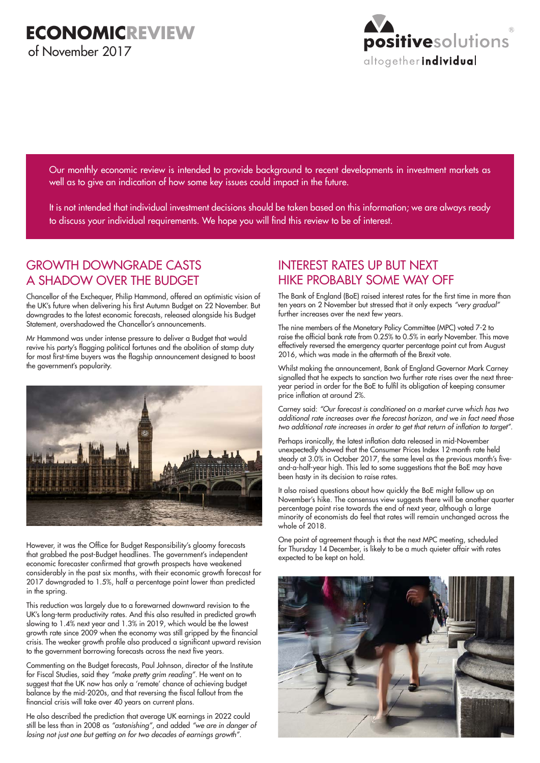

Our monthly economic review is intended to provide background to recent developments in investment markets as well as to give an indication of how some key issues could impact in the future.

It is not intended that individual investment decisions should be taken based on this information; we are always ready to discuss your individual requirements. We hope you will find this review to be of interest.

# GROWTH DOWNGRADE CASTS A SHADOW OVER THE BUDGET

Chancellor of the Exchequer, Philip Hammond, offered an optimistic vision of the UK's future when delivering his first Autumn Budget on 22 November. But downgrades to the latest economic forecasts, released alongside his Budget Statement, overshadowed the Chancellor's announcements.

Mr Hammond was under intense pressure to deliver a Budget that would revive his party's flagging political fortunes and the abolition of stamp duty for most first-time buyers was the flagship announcement designed to boost the government's popularity.



However, it was the Office for Budget Responsibility's gloomy forecasts that grabbed the post-Budget headlines. The government's independent economic forecaster confirmed that growth prospects have weakened considerably in the past six months, with their economic growth forecast for 2017 downgraded to 1.5%, half a percentage point lower than predicted in the spring.

This reduction was largely due to a forewarned downward revision to the UK's long-term productivity rates. And this also resulted in predicted growth slowing to 1.4% next year and 1.3% in 2019, which would be the lowest growth rate since 2009 when the economy was still gripped by the financial crisis. The weaker growth profile also produced a significant upward revision to the government borrowing forecasts across the next five years.

Commenting on the Budget forecasts, Paul Johnson, director of the Institute for Fiscal Studies, said they *"make pretty grim reading"*. He went on to suggest that the UK now has only a 'remote' chance of achieving budget balance by the mid-2020s, and that reversing the fiscal fallout from the financial crisis will take over 40 years on current plans.

He also described the prediction that average UK earnings in 2022 could still be less than in 2008 as *"astonishing"*, and added *"we are in danger of losing not just one but getting on for two decades of earnings growth".*

## INTEREST RATES UP BUT NEXT HIKE PROBABLY SOME WAY OFF

The Bank of England (BoE) raised interest rates for the first time in more than ten years on 2 November but stressed that it only expects *"very gradual"* further increases over the next few years.

The nine members of the Monetary Policy Committee (MPC) voted 7-2 to raise the official bank rate from 0.25% to 0.5% in early November. This move effectively reversed the emergency quarter percentage point cut from August 2016, which was made in the aftermath of the Brexit vote.

Whilst making the announcement, Bank of England Governor Mark Carney signalled that he expects to sanction two further rate rises over the next threeyear period in order for the BoE to fulfil its obligation of keeping consumer price inflation at around 2%.

Carney said: *"Our forecast is conditioned on a market curve which has two additional rate increases over the forecast horizon, and we in fact need those*  two additional rate increases in order to get that return of inflation to target".

Perhaps ironically, the latest inflation data released in mid-November unexpectedly showed that the Consumer Prices Index 12-month rate held steady at 3.0% in October 2017, the same level as the previous month's fiveand-a-half-year high. This led to some suggestions that the BoE may have been hasty in its decision to raise rates.

It also raised questions about how quickly the BoE might follow up on November's hike. The consensus view suggests there will be another quarter percentage point rise towards the end of next year, although a large minority of economists do feel that rates will remain unchanged across the whole of 2018.

One point of agreement though is that the next MPC meeting, scheduled for Thursday 14 December, is likely to be a much quieter affair with rates expected to be kept on hold.